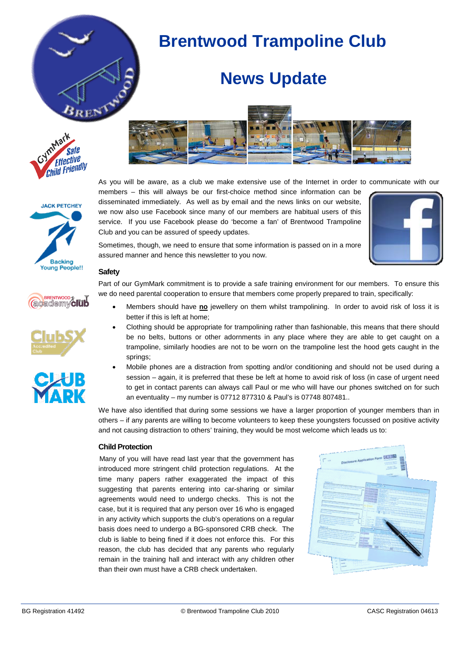

# **Brentwood Trampoline Club**

## **News Update**













As you will be aware, as a club we make extensive use of the Internet in order to communicate with our

members – this will always be our first-choice method since information can be disseminated immediately. As well as by email and the news links on our website, we now also use Facebook since many of our members are habitual users of this service. If you use Facebook please do 'become a fan' of Brentwood Trampoline Club and you can be assured of speedy updates.



Sometimes, though, we need to ensure that some information is passed on in a more assured manner and hence this newsletter to you now.

### **Safety**

Part of our GymMark commitment is to provide a safe training environment for our members. To ensure this we do need parental cooperation to ensure that members come properly prepared to train, specifically:

- Members should have **no** jewellery on them whilst trampolining. In order to avoid risk of loss it is better if this is left at home;
- Clothing should be appropriate for trampolining rather than fashionable, this means that there should be no belts, buttons or other adornments in any place where they are able to get caught on a trampoline, similarly hoodies are not to be worn on the trampoline lest the hood gets caught in the springs;
- Mobile phones are a distraction from spotting and/or conditioning and should not be used during a session – again, it is preferred that these be left at home to avoid risk of loss (in case of urgent need to get in contact parents can always call Paul or me who will have our phones switched on for such an eventuality – my number is 07712 877310 & Paul's is 07748 807481..

We have also identified that during some sessions we have a larger proportion of younger members than in others – if any parents are willing to become volunteers to keep these youngsters focussed on positive activity and not causing distraction to others' training, they would be most welcome which leads us to:

### **Child Protection**

Many of you will have read last year that the government has introduced more stringent child protection regulations. At the time many papers rather exaggerated the impact of this suggesting that parents entering into car-sharing or similar agreements would need to undergo checks. This is not the case, but it is required that any person over 16 who is engaged in any activity which supports the club's operations on a regular basis does need to undergo a BG-sponsored CRB check. The club is liable to being fined if it does not enforce this. For this reason, the club has decided that any parents who regularly remain in the training hall and interact with any children other than their own must have a CRB check undertaken.